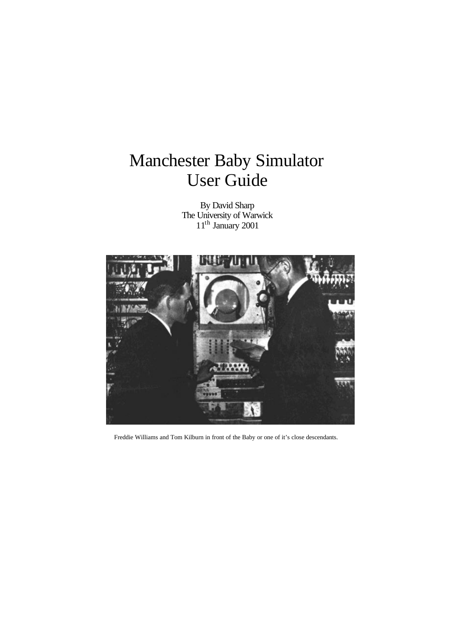# Manchester Baby Simulator User Guide

By David Sharp The University of Warwick 11<sup>th</sup> January 2001



Freddie Williams and Tom Kilburn in front of the Baby or one of it's close descendants.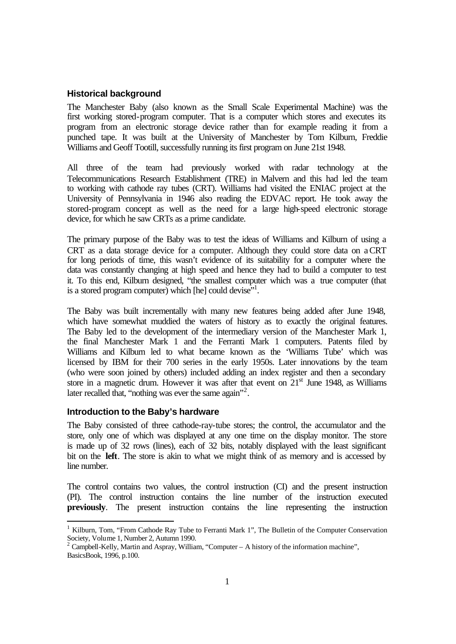# **Historical background**

The Manchester Baby (also known as the Small Scale Experimental Machine) was the first working stored-program computer. That is a computer which stores and executes its program from an electronic storage device rather than for example reading it from a punched tape. It was built at the University of Manchester by Tom Kilburn, Freddie Williams and Geoff Tootill, successfully running its first program on June 21st 1948.

All three of the team had previously worked with radar technology at the Telecommunications Research Establishment (TRE) in Malvern and this had led the team to working with cathode ray tubes (CRT). Williams had visited the ENIAC project at the University of Pennsylvania in 1946 also reading the EDVAC report. He took away the stored-program concept as well as the need for a large high-speed electronic storage device, for which he saw CRTs as a prime candidate.

The primary purpose of the Baby was to test the ideas of Williams and Kilburn of using a CRT as a data storage device for a computer. Although they could store data on a CRT for long periods of time, this wasn't evidence of its suitability for a computer where the data was constantly changing at high speed and hence they had to build a computer to test it. To this end, Kilburn designed, "the smallest computer which was a true computer (that is a stored program computer) which [he] could devise"<sup>1</sup>.

The Baby was built incrementally with many new features being added after June 1948, which have somewhat muddied the waters of history as to exactly the original features. The Baby led to the development of the intermediary version of the Manchester Mark 1, the final Manchester Mark 1 and the Ferranti Mark 1 computers. Patents filed by Williams and Kilburn led to what became known as the 'Williams Tube' which was licensed by IBM for their 700 series in the early 1950s. Later innovations by the team (who were soon joined by others) included adding an index register and then a secondary store in a magnetic drum. However it was after that event on  $21<sup>st</sup>$  June 1948, as Williams later recalled that, "nothing was ever the same again"<sup>2</sup>.

## **Introduction to the Baby's hardware**

l

The Baby consisted of three cathode-ray-tube stores; the control, the accumulator and the store, only one of which was displayed at any one time on the display monitor. The store is made up of 32 rows (lines), each of 32 bits, notably displayed with the least significant bit on the **left**. The store is akin to what we might think of as memory and is accessed by line number.

The control contains two values, the control instruction (CI) and the present instruction (PI). The control instruction contains the line number of the instruction executed **previously**. The present instruction contains the line representing the instruction

<sup>1</sup> Kilburn, Tom, "From Cathode Ray Tube to Ferranti Mark 1", The Bulletin of the Computer Conservation Society, Volume 1, Number 2, Autumn 1990.<br><sup>2</sup> Campbell-Kelly, Martin and Aspray, William, "Computer – A history of the information machine",

BasicsBook, 1996, p.100.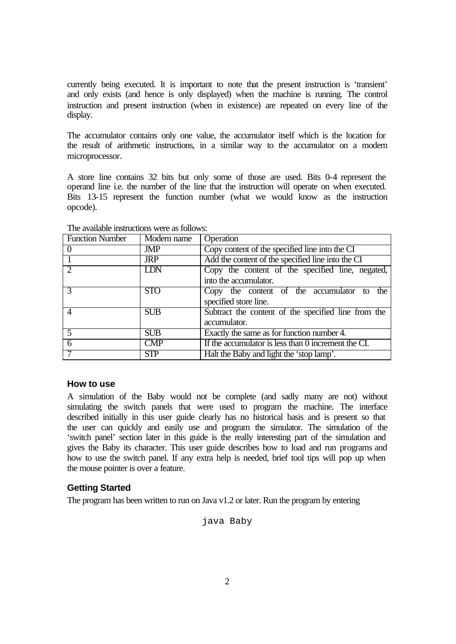currently being executed. It is important to note that the present instruction is 'transient' and only exists (and hence is only displayed) when the machine is running. The control instruction and present instruction (when in existence) are repeated on every line of the display.

The accumulator contains only one value, the accumulator itself which is the location for the result of arithmetic instructions, in a similar way to the accumulator on a modern microprocessor.

A store line contains 32 bits but only some of those are used. Bits 0-4 represent the operand line i.e. the number of the line that the instruction will operate on when executed. Bits 13-15 represent the function number (what we would know as the instruction opcode).

| <b>Function Number</b> | Modern name | Operation                                           |
|------------------------|-------------|-----------------------------------------------------|
|                        | JMP         | Copy content of the specified line into the CI      |
|                        | <b>JRP</b>  | Add the content of the specified line into the CI   |
| $\overline{2}$         | LDN         | Copy the content of the specified line, negated,    |
|                        |             | into the accumulator.                               |
| $\mathcal{R}$          | <b>STO</b>  | Copy the content of the accumulator to<br>the       |
|                        |             | specified store line.                               |
| $\overline{4}$         | <b>SUB</b>  | Subtract the content of the specified line from the |
|                        |             | accumulator.                                        |
| $\overline{5}$         | <b>SUB</b>  | Exactly the same as for function number 4.          |
| $\overline{6}$         | <b>CMP</b>  | If the accumulator is less than 0 increment the CI. |
|                        | <b>STP</b>  | Halt the Baby and light the 'stop lamp'.            |

The available instructions were as follows:

# **How to use**

A simulation of the Baby would not be complete (and sadly many are not) without simulating the switch panels that were used to program the machine. The interface described initially in this user guide clearly has no historical basis and is present so that the user can quickly and easily use and program the simulator. The simulation of the 'switch panel' section later in this guide is the really interesting part of the simulation and gives the Baby its character. This user guide describes how to load and run programs and how to use the switch panel. If any extra help is needed, brief tool tips will pop up when the mouse pointer is over a feature.

# **Getting Started**

The program has been written to run on Java v1.2 or later. Run the program by entering

java Baby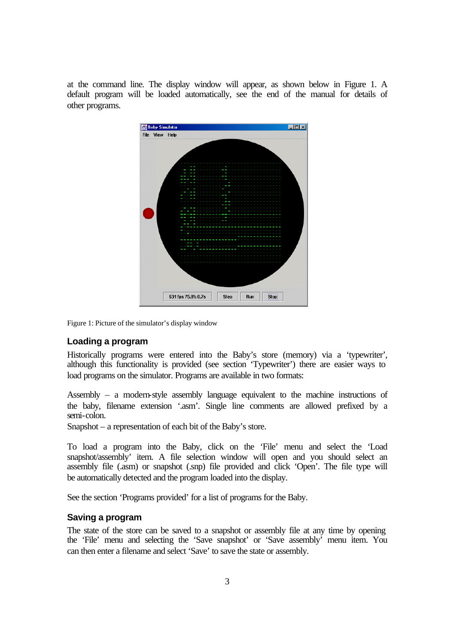at the command line. The display window will appear, as shown below in Figure 1. A default program will be loaded automatically, see the end of the manual for details of other programs.



Figure 1: Picture of the simulator's display window

## **Loading a program**

Historically programs were entered into the Baby's store (memory) via a 'typewriter', although this functionality is provided (see section 'Typewriter') there are easier ways to load programs on the simulator. Programs are available in two formats:

Assembly – a modern-style assembly language equivalent to the machine instructions of the baby, filename extension '.asm'. Single line comments are allowed prefixed by a semi-colon.

Snapshot – a representation of each bit of the Baby's store.

To load a program into the Baby, click on the 'File' menu and select the 'Load snapshot/assembly' item. A file selection window will open and you should select an assembly file (.asm) or snapshot (.snp) file provided and click 'Open'. The file type will be automatically detected and the program loaded into the display.

See the section 'Programs provided' for a list of programs for the Baby.

# **Saving a program**

The state of the store can be saved to a snapshot or assembly file at any time by opening the 'File' menu and selecting the 'Save snapshot' or 'Save assembly' menu item. You can then enter a filename and select 'Save' to save the state or assembly.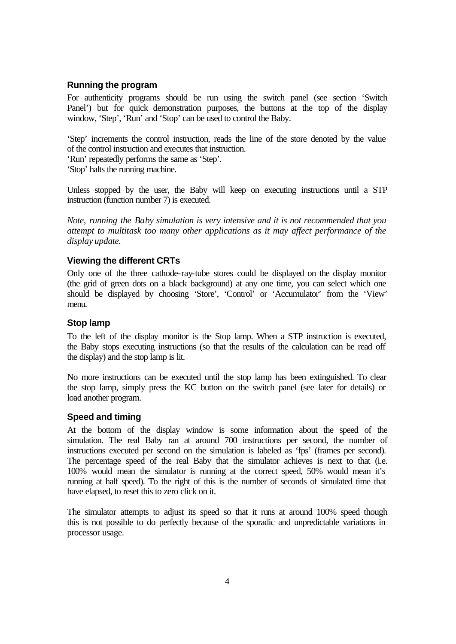### **Running the program**

For authenticity programs should be run using the switch panel (see section 'Switch Panel') but for quick demonstration purposes, the buttons at the top of the display window, 'Step', 'Run' and 'Stop' can be used to control the Baby.

'Step' increments the control instruction, reads the line of the store denoted by the value of the control instruction and executes that instruction.

'Run' repeatedly performs the same as 'Step'.

'Stop' halts the running machine.

Unless stopped by the user, the Baby will keep on executing instructions until a STP instruction (function number 7) is executed.

*Note, running the Baby simulation is very intensive and it is not recommended that you attempt to multitask too many other applications as it may affect performance of the display update.*

#### **Viewing the different CRTs**

Only one of the three cathode-ray-tube stores could be displayed on the display monitor (the grid of green dots on a black background) at any one time, you can select which one should be displayed by choosing 'Store', 'Control' or 'Accumulator' from the 'View' menu.

## **Stop lamp**

To the left of the display monitor is the Stop lamp. When a STP instruction is executed, the Baby stops executing instructions (so that the results of the calculation can be read off the display) and the stop lamp is lit.

No more instructions can be executed until the stop lamp has been extinguished. To clear the stop lamp, simply press the KC button on the switch panel (see later for details) or load another program.

## **Speed and timing**

At the bottom of the display window is some information about the speed of the simulation. The real Baby ran at around 700 instructions per second, the number of instructions executed per second on the simulation is labeled as 'fps' (frames per second). The percentage speed of the real Baby that the simulator achieves is next to that (i.e. 100% would mean the simulator is running at the correct speed, 50% would mean it's running at half speed). To the right of this is the number of seconds of simulated time that have elapsed, to reset this to zero click on it.

The simulator attempts to adjust its speed so that it runs at around 100% speed though this is not possible to do perfectly because of the sporadic and unpredictable variations in processor usage.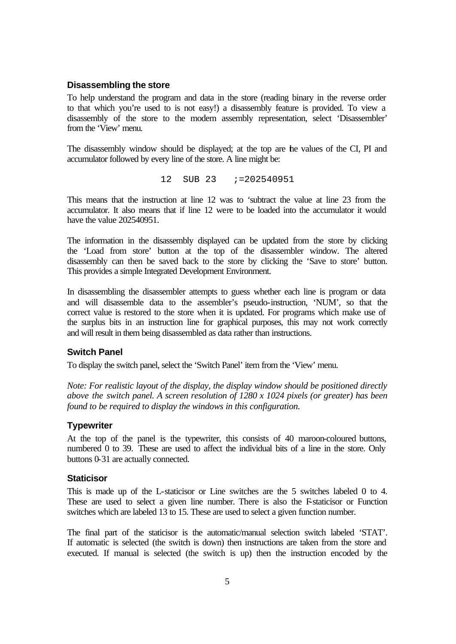#### **Disassembling the store**

To help understand the program and data in the store (reading binary in the reverse order to that which you're used to is not easy!) a disassembly feature is provided. To view a disassembly of the store to the modern assembly representation, select 'Disassembler' from the 'View' menu.

The disassembly window should be displayed; at the top are the values of the CI, PI and accumulator followed by every line of the store. A line might be:

12 SUB 23 ;=202540951

This means that the instruction at line 12 was to 'subtract the value at line 23 from the accumulator. It also means that if line 12 were to be loaded into the accumulator it would have the value 202540951.

The information in the disassembly displayed can be updated from the store by clicking the 'Load from store' button at the top of the disassembler window. The altered disassembly can then be saved back to the store by clicking the 'Save to store' button. This provides a simple Integrated Development Environment.

In disassembling the disassembler attempts to guess whether each line is program or data and will disassemble data to the assembler's pseudo-instruction, 'NUM', so that the correct value is restored to the store when it is updated. For programs which make use of the surplus bits in an instruction line for graphical purposes, this may not work correctly and will result in them being disassembled as data rather than instructions.

#### **Switch Panel**

To display the switch panel, select the 'Switch Panel' item from the 'View' menu.

*Note: For realistic layout of the display, the display window should be positioned directly above the switch panel. A screen resolution of 1280 x 1024 pixels (or greater) has been found to be required to display the windows in this configuration.*

# **Typewriter**

At the top of the panel is the typewriter, this consists of 40 maroon-coloured buttons, numbered 0 to 39. These are used to affect the individual bits of a line in the store. Only buttons 0-31 are actually connected.

#### **Staticisor**

This is made up of the L-staticisor or Line switches are the 5 switches labeled 0 to 4. These are used to select a given line number. There is also the F-staticisor or Function switches which are labeled 13 to 15. These are used to select a given function number.

The final part of the staticisor is the automatic/manual selection switch labeled 'STAT'. If automatic is selected (the switch is down) then instructions are taken from the store and executed. If manual is selected (the switch is up) then the instruction encoded by the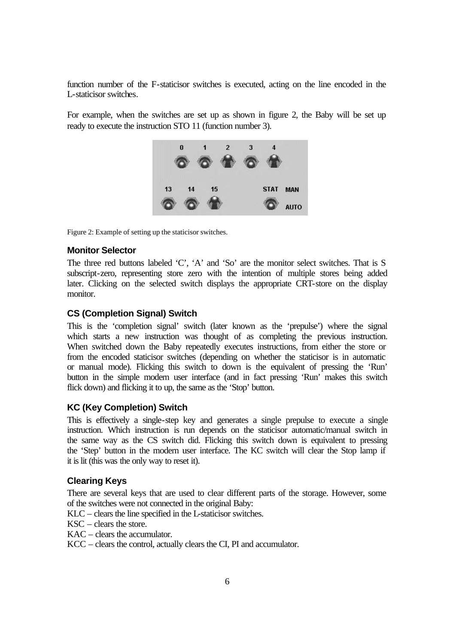function number of the F-staticisor switches is executed, acting on the line encoded in the L-staticisor switches.

For example, when the switches are set up as shown in figure 2, the Baby will be set up ready to execute the instruction STO 11 (function number 3).



Figure 2: Example of setting up the staticisor switches.

# **Monitor Selector**

The three red buttons labeled 'C', 'A' and 'So' are the monitor select switches. That is S subscript-zero, representing store zero with the intention of multiple stores being added later. Clicking on the selected switch displays the appropriate CRT-store on the display monitor.

# **CS (Completion Signal) Switch**

This is the 'completion signal' switch (later known as the 'prepulse') where the signal which starts a new instruction was thought of as completing the previous instruction. When switched down the Baby repeatedly executes instructions, from either the store or from the encoded staticisor switches (depending on whether the staticisor is in automatic or manual mode). Flicking this switch to down is the equivalent of pressing the 'Run' button in the simple modern user interface (and in fact pressing 'Run' makes this switch flick down) and flicking it to up, the same as the 'Stop' button.

## **KC (Key Completion) Switch**

This is effectively a single-step key and generates a single prepulse to execute a single instruction. Which instruction is run depends on the staticisor automatic/manual switch in the same way as the CS switch did. Flicking this switch down is equivalent to pressing the 'Step' button in the modern user interface. The KC switch will clear the Stop lamp if it is lit (this was the only way to reset it).

#### **Clearing Keys**

There are several keys that are used to clear different parts of the storage. However, some of the switches were not connected in the original Baby:

- KLC clears the line specified in the L-staticisor switches.
- $\text{KSC}$  clears the store.
- KAC clears the accumulator.

KCC – clears the control, actually clears the CI, PI and accumulator.